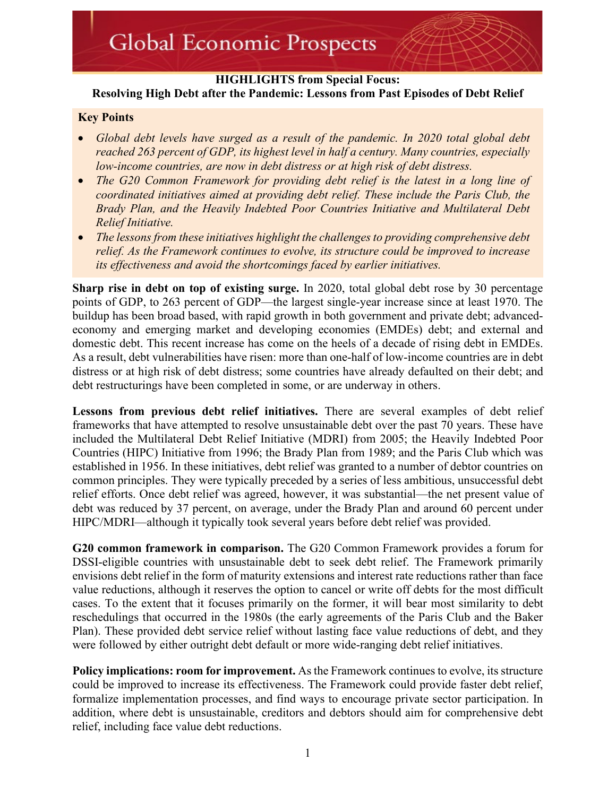### **HIGHLIGHTS from Special Focus: Resolving High Debt after the Pandemic: Lessons from Past Episodes of Debt Relief**

### **Key Points**

- *Global debt levels have surged as a result of the pandemic. In 2020 total global debt reached 263 percent of GDP, its highest level in half a century. Many countries, especially low-income countries, are now in debt distress or at high risk of debt distress.*
- *The G20 Common Framework for providing debt relief is the latest in a long line of coordinated initiatives aimed at providing debt relief. These include the Paris Club, the Brady Plan, and the Heavily Indebted Poor Countries Initiative and Multilateral Debt Relief Initiative.*
- *The lessons from these initiatives highlight the challenges to providing comprehensive debt relief. As the Framework continues to evolve, its structure could be improved to increase its effectiveness and avoid the shortcomings faced by earlier initiatives.*

**Sharp rise in debt on top of existing surge.** In 2020, total global debt rose by 30 percentage points of GDP, to 263 percent of GDP—the largest single-year increase since at least 1970. The buildup has been broad based, with rapid growth in both government and private debt; advancedeconomy and emerging market and developing economies (EMDEs) debt; and external and domestic debt. This recent increase has come on the heels of a decade of rising debt in EMDEs. As a result, debt vulnerabilities have risen: more than one-half of low-income countries are in debt distress or at high risk of debt distress; some countries have already defaulted on their debt; and debt restructurings have been completed in some, or are underway in others.

**Lessons from previous debt relief initiatives.** There are several examples of debt relief frameworks that have attempted to resolve unsustainable debt over the past 70 years. These have included the Multilateral Debt Relief Initiative (MDRI) from 2005; the Heavily Indebted Poor Countries (HIPC) Initiative from 1996; the Brady Plan from 1989; and the Paris Club which was established in 1956. In these initiatives, debt relief was granted to a number of debtor countries on common principles. They were typically preceded by a series of less ambitious, unsuccessful debt relief efforts. Once debt relief was agreed, however, it was substantial—the net present value of debt was reduced by 37 percent, on average, under the Brady Plan and around 60 percent under HIPC/MDRI—although it typically took several years before debt relief was provided.

**G20 common framework in comparison.** The G20 Common Framework provides a forum for DSSI-eligible countries with unsustainable debt to seek debt relief. The Framework primarily envisions debt relief in the form of maturity extensions and interest rate reductions rather than face value reductions, although it reserves the option to cancel or write off debts for the most difficult cases. To the extent that it focuses primarily on the former, it will bear most similarity to debt reschedulings that occurred in the 1980s (the early agreements of the Paris Club and the Baker Plan). These provided debt service relief without lasting face value reductions of debt, and they were followed by either outright debt default or more wide-ranging debt relief initiatives.

**Policy implications: room for improvement.** As the Framework continues to evolve, its structure could be improved to increase its effectiveness. The Framework could provide faster debt relief, formalize implementation processes, and find ways to encourage private sector participation. In addition, where debt is unsustainable, creditors and debtors should aim for comprehensive debt relief, including face value debt reductions.